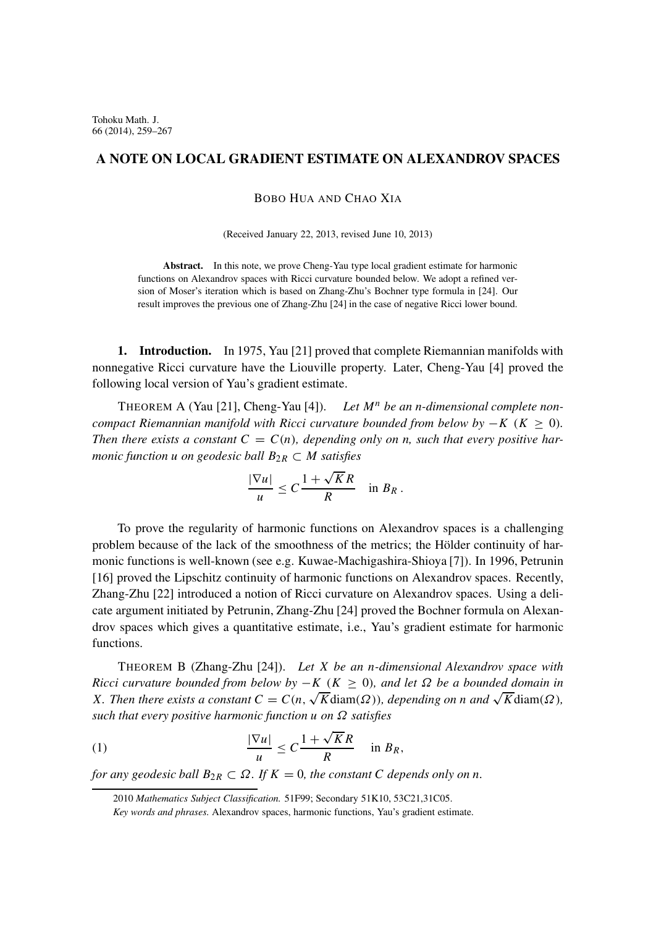## **A NOTE ON LOCAL GRADIENT ESTIMATE ON ALEXANDROV SPACES**

BOBO HUA AND CHAO XIA

(Received January 22, 2013, revised June 10, 2013)

**Abstract.** In this note, we prove Cheng-Yau type local gradient estimate for harmonic functions on Alexandrov spaces with Ricci curvature bounded below. We adopt a refined version of Moser's iteration which is based on Zhang-Zhu's Bochner type formula in [24]. Our result improves the previous one of Zhang-Zhu [24] in the case of negative Ricci lower bound.

**1. Introduction.** In 1975, Yau [21] proved that complete Riemannian manifolds with nonnegative Ricci curvature have the Liouville property. Later, Cheng-Yau [4] proved the following local version of Yau's gradient estimate.

THEOREM A (Yau [21], Cheng-Yau [4]). Let  $M<sup>n</sup>$  be an *n*-dimensional complete non*compact Riemannian manifold with Ricci curvature bounded from below by*  $-K$  ( $K > 0$ ). *Then there exists a constant*  $C = C(n)$ *, depending only on n, such that every positive harmonic function u on geodesic ball*  $B_{2R} \subset M$  *satisfies* 

$$
\frac{|\nabla u|}{u} \leq C \frac{1 + \sqrt{K}R}{R} \quad \text{in } B_R.
$$

To prove the regularity of harmonic functions on Alexandrov spaces is a challenging problem because of the lack of the smoothness of the metrics; the Hölder continuity of harmonic functions is well-known (see e.g. Kuwae-Machigashira-Shioya [7]). In 1996, Petrunin [16] proved the Lipschitz continuity of harmonic functions on Alexandrov spaces. Recently, Zhang-Zhu [22] introduced a notion of Ricci curvature on Alexandrov spaces. Using a delicate argument initiated by Petrunin, Zhang-Zhu [24] proved the Bochner formula on Alexandrov spaces which gives a quantitative estimate, i.e., Yau's gradient estimate for harmonic functions.

THEOREM B (Zhang-Zhu [24]). *Let* X *be an* n*-dimensional Alexandrov space with Ricci curvature bounded from below by* − K ( $K > 0$ ), and let  $\Omega$  be a bounded domain in *X*. Then there exists a constant  $C = C(n, \sqrt{K} \text{diam}(\Omega))$ , depending on n and  $\sqrt{K} \text{diam}(\Omega)$ , *such that every positive harmonic function* u *on* Ω *satisfies*

(1) 
$$
\frac{|\nabla u|}{u} \leq C \frac{1 + \sqrt{K}R}{R} \quad \text{in } B_R,
$$

*for any geodesic ball*  $B_{2R} \subset \Omega$ *. If*  $K = 0$ *, the constant* C *depends only on n.* 

<sup>2010</sup> *Mathematics Subject Classification.* 51F99; Secondary 51K10, 53C21,31C05.

*Key words and phrases.* Alexandrov spaces, harmonic functions, Yau's gradient estimate.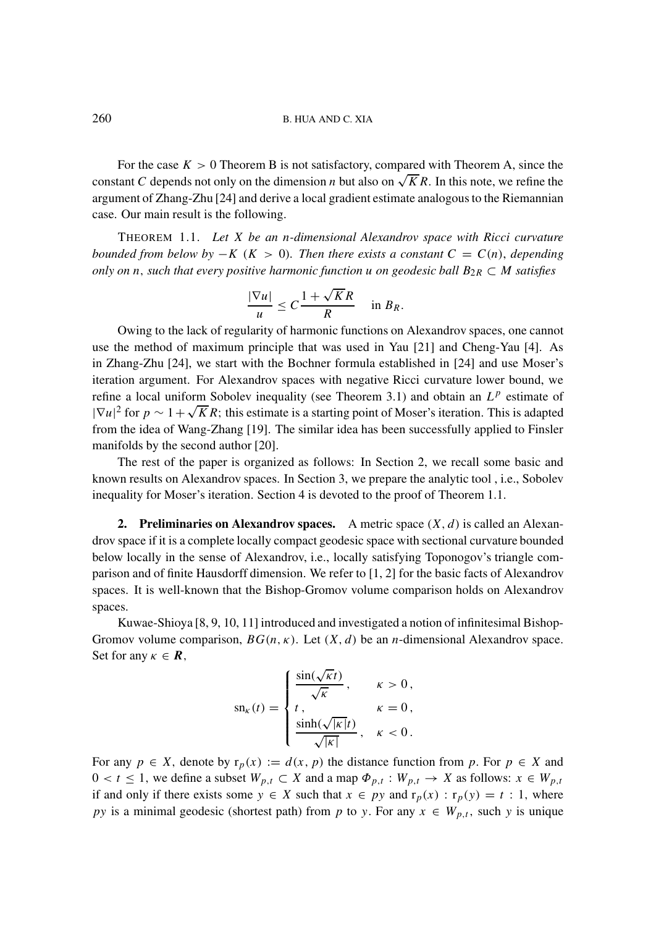## 260 B. HUA AND C. XIA

For the case  $K > 0$  Theorem B is not satisfactory, compared with Theorem A, since the constant C depends not only on the dimension n but also on  $\sqrt{K}R$ . In this note, we refine the argument of Zhang-Zhu [24] and derive a local gradient estimate analogous to the Riemannian case. Our main result is the following.

THEOREM 1.1. *Let* X *be an* n*-dimensional Alexandrov space with Ricci curvature bounded from below by* −K ( $K > 0$ ). Then there exists a constant  $C = C(n)$ , depending *only on* n, *such that every positive harmonic function* u *on geodesic ball*  $B_{2R} \subset M$  *satisfies* 

$$
\frac{|\nabla u|}{u} \leq C \frac{1 + \sqrt{K}R}{R} \quad \text{in } B_R.
$$

Owing to the lack of regularity of harmonic functions on Alexandrov spaces, one cannot use the method of maximum principle that was used in Yau [21] and Cheng-Yau [4]. As in Zhang-Zhu [24], we start with the Bochner formula established in [24] and use Moser's iteration argument. For Alexandrov spaces with negative Ricci curvature lower bound, we refine a local uniform Sobolev inequality (see Theorem 3.1) and obtain an  $L^p$  estimate of Frame a local unflorm Sobolev inequality (see Theorem 5.1) and obtain an  $L^T$  estimate of  $|\nabla u|^2$  for  $p \sim 1 + \sqrt{K}R$ ; this estimate is a starting point of Moser's iteration. This is adapted from the idea of Wang-Zhang [19]. The similar idea has been successfully applied to Finsler manifolds by the second author [20].

The rest of the paper is organized as follows: In Section 2, we recall some basic and known results on Alexandrov spaces. In Section 3, we prepare the analytic tool , i.e., Sobolev inequality for Moser's iteration. Section 4 is devoted to the proof of Theorem 1.1.

**2. Preliminaries on Alexandrov spaces.** A metric space  $(X, d)$  is called an Alexandrov space if it is a complete locally compact geodesic space with sectional curvature bounded below locally in the sense of Alexandrov, i.e., locally satisfying Toponogov's triangle comparison and of finite Hausdorff dimension. We refer to [1, 2] for the basic facts of Alexandrov spaces. It is well-known that the Bishop-Gromov volume comparison holds on Alexandrov spaces.

Kuwae-Shioya [8, 9, 10, 11] introduced and investigated a notion of infinitesimal Bishop-Gromov volume comparison,  $BG(n, \kappa)$ . Let  $(X, d)$  be an *n*-dimensional Alexandrov space. Set for any  $\kappa \in \mathbf{R}$ ,

$$
\operatorname{sn}_{\kappa}(t) = \begin{cases} \frac{\sin(\sqrt{\kappa}t)}{\sqrt{\kappa}}, & \kappa > 0, \\ t, & \kappa = 0, \\ \frac{\sinh(\sqrt{|\kappa|}t)}{\sqrt{|\kappa|}}, & \kappa < 0. \end{cases}
$$

For any  $p \in X$ , denote by  $r_p(x) := d(x, p)$  the distance function from p. For  $p \in X$  and  $0 < t \leq 1$ , we define a subset  $W_{p,t} \subset X$  and a map  $\Phi_{p,t} : W_{p,t} \to X$  as follows:  $x \in W_{p,t}$ if and only if there exists some  $y \in X$  such that  $x \in py$  and  $r_p(x) : r_p(y) = t : 1$ , where py is a minimal geodesic (shortest path) from p to y. For any  $x \in W_{p,t}$ , such y is unique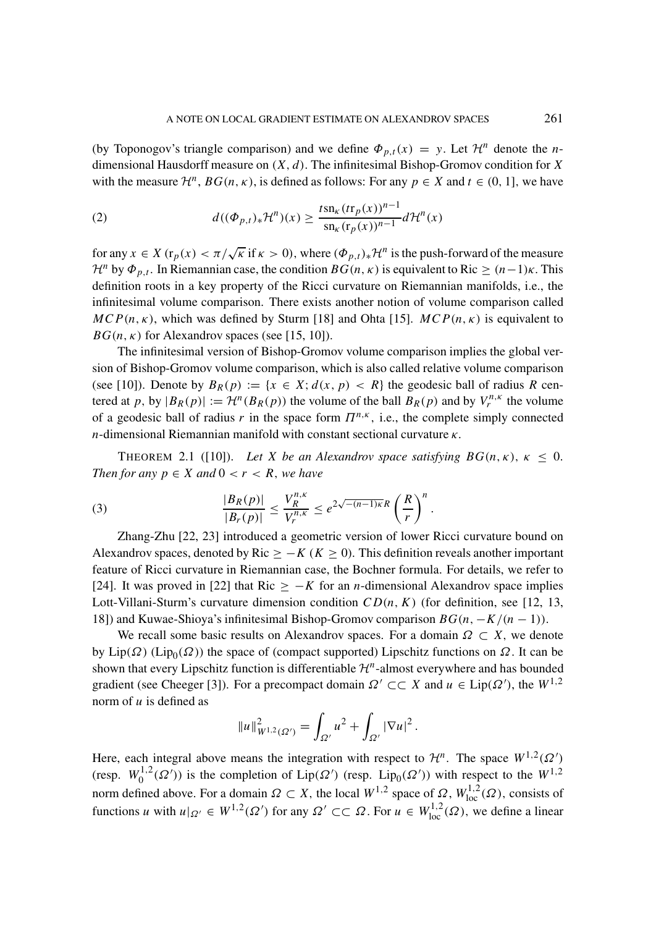(by Toponogov's triangle comparison) and we define  $\Phi_{p,t}(x) = y$ . Let  $\mathcal{H}^n$  denote the *n*dimensional Hausdorff measure on  $(X, d)$ . The infinitesimal Bishop-Gromov condition for X with the measure  $\mathcal{H}^n$ ,  $BG(n, \kappa)$ , is defined as follows: For any  $p \in X$  and  $t \in (0, 1]$ , we have

(2) 
$$
d((\Phi_{p,t})_* \mathcal{H}^n)(x) \geq \frac{t \operatorname{sn}_k (t \mathbf{r}_p(x))^{n-1}}{\operatorname{sn}_k (\mathbf{r}_p(x))^{n-1}} d\mathcal{H}^n(x)
$$

for any  $x \in X$  ( $r_p(x) < \pi/\sqrt{\kappa}$  if  $\kappa > 0$ ), where  $(\Phi_{p,t})_*\mathcal{H}^n$  is the push-forward of the measure *H*<sup>n</sup> by  $\Phi_{p,t}$ . In Riemannian case, the condition  $BG(n, \kappa)$  is equivalent to Ric  $\geq (n-1)\kappa$ . This definition roots in a key property of the Ricci curvature on Riemannian manifolds, i.e., the infinitesimal volume comparison. There exists another notion of volume comparison called  $MCP(n, \kappa)$ , which was defined by Sturm [18] and Ohta [15].  $MCP(n, \kappa)$  is equivalent to  $BG(n, \kappa)$  for Alexandrov spaces (see [15, 10]).

The infinitesimal version of Bishop-Gromov volume comparison implies the global version of Bishop-Gromov volume comparison, which is also called relative volume comparison (see [10]). Denote by  $B_R(p) := \{x \in X; d(x, p) < R\}$  the geodesic ball of radius R centered at p, by  $|B_R(p)| := \mathcal{H}^n(B_R(p))$  the volume of the ball  $B_R(p)$  and by  $V_r^{n,k}$  the volume of a geodesic ball of radius r in the space form  $\Pi^{n,\kappa}$ , i.e., the complete simply connected n-dimensional Riemannian manifold with constant sectional curvature  $\kappa$ .

THEOREM 2.1 ([10]). Let X be an Alexandrov space satisfying  $BG(n, \kappa)$ ,  $\kappa \leq 0$ . *Then for any*  $p \in X$  *and*  $0 < r < R$ *, we have* 

(3) 
$$
\frac{|B_R(p)|}{|B_r(p)|} \leq \frac{V_R^{n,\kappa}}{V_r^{n,\kappa}} \leq e^{2\sqrt{-(n-1)\kappa}R} \left(\frac{R}{r}\right)^n.
$$

Zhang-Zhu [22, 23] introduced a geometric version of lower Ricci curvature bound on Alexandrov spaces, denoted by Ric  $\geq$  – K (K  $\geq$  0). This definition reveals another important feature of Ricci curvature in Riemannian case, the Bochner formula. For details, we refer to [24]. It was proved in [22] that Ric  $\geq -K$  for an *n*-dimensional Alexandrov space implies Lott-Villani-Sturm's curvature dimension condition  $CD(n, K)$  (for definition, see [12, 13, 18]) and Kuwae-Shioya's infinitesimal Bishop-Gromov comparison  $BG(n, -K/(n-1))$ .

We recall some basic results on Alexandrov spaces. For a domain  $\Omega \subset X$ , we denote by Lip( $\Omega$ ) (Lip<sub>0</sub>( $\Omega$ )) the space of (compact supported) Lipschitz functions on  $\Omega$ . It can be shown that every Lipschitz function is differentiable  $\mathcal{H}^n$ -almost everywhere and has bounded gradient (see Cheeger [3]). For a precompact domain  $\Omega' \subset \subset X$  and  $u \in \text{Lip}(\Omega')$ , the  $W^{1,2}$ norm of  $u$  is defined as

$$
||u||_{W^{1,2}(\Omega')}^2 = \int_{\Omega'} u^2 + \int_{\Omega'} |\nabla u|^2.
$$

Here, each integral above means the integration with respect to  $\mathcal{H}^n$ . The space  $W^{1,2}(\Omega')$ (resp.  $W_0^{1,2}(\Omega')$ ) is the completion of Lip( $\Omega'$ ) (resp. Lip<sub>0</sub>( $\Omega'$ )) with respect to the  $W^{1,2}$ norm defined above. For a domain  $\Omega \subset X$ , the local  $W^{1,2}$  space of  $\Omega$ ,  $W^{1,\overline{2}}_{loc}(\Omega)$ , consists of functions u with  $u|_{\Omega'} \in W^{1,2}(\Omega')$  for any  $\Omega' \subset\subset \Omega$ . For  $u \in W^{1,2}_{loc}(\Omega)$ , we define a linear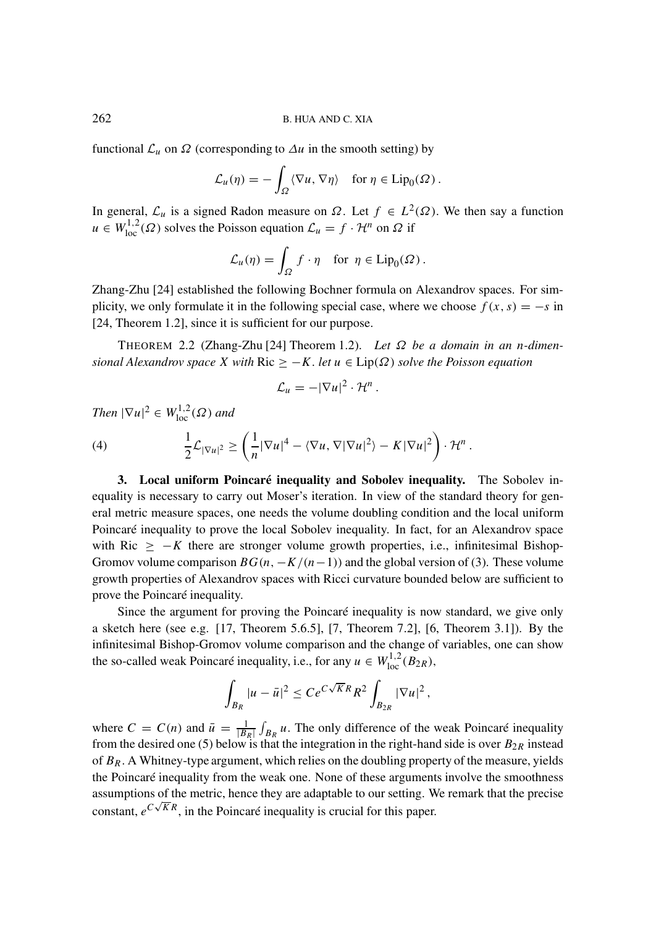functional  $\mathcal{L}_u$  on  $\Omega$  (corresponding to  $\Delta u$  in the smooth setting) by

$$
\mathcal{L}_u(\eta) = -\int_{\Omega} \langle \nabla u, \nabla \eta \rangle \quad \text{for } \eta \in \text{Lip}_0(\Omega) .
$$

In general,  $\mathcal{L}_u$  is a signed Radon measure on  $\Omega$ . Let  $f \in L^2(\Omega)$ . We then say a function  $u \in W_{loc}^{1,2}(\Omega)$  solves the Poisson equation  $\mathcal{L}_u = f \cdot \mathcal{H}^n$  on  $\Omega$  if

$$
\mathcal{L}_u(\eta) = \int_{\Omega} f \cdot \eta \quad \text{for } \eta \in \text{Lip}_0(\Omega) .
$$

Zhang-Zhu [24] established the following Bochner formula on Alexandrov spaces. For simplicity, we only formulate it in the following special case, where we choose  $f(x, s) = -s$  in [24, Theorem 1.2], since it is sufficient for our purpose.

THEOREM 2.2 (Zhang-Zhu [24] Theorem 1.2). *Let* Ω *be a domain in an* n*-dimensional Alexandrov space* X *with* Ric  $\geq -K$ . *let*  $u \in Lip(\Omega)$  *solve the Poisson equation* 

$$
\mathcal{L}_u=-|\nabla u|^2\cdot\mathcal{H}^n.
$$

*Then*  $|\nabla u|^2 \in W^{1,2}_{loc}(\Omega)$  *and* 

(4) 
$$
\frac{1}{2}\mathcal{L}_{|\nabla u|^2} \geq \left(\frac{1}{n}|\nabla u|^4 - \langle \nabla u, \nabla |\nabla u|^2 \rangle - K|\nabla u|^2\right) \cdot \mathcal{H}^n.
$$

**3. Local uniform Poincaré inequality and Sobolev inequality.** The Sobolev inequality is necessary to carry out Moser's iteration. In view of the standard theory for general metric measure spaces, one needs the volume doubling condition and the local uniform Poincaré inequality to prove the local Sobolev inequality. In fact, for an Alexandrov space with Ric  $\geq -K$  there are stronger volume growth properties, i.e., infinitesimal Bishop-Gromov volume comparison  $BG(n, -K/(n-1))$  and the global version of (3). These volume growth properties of Alexandrov spaces with Ricci curvature bounded below are sufficient to prove the Poincaré inequality.

Since the argument for proving the Poincaré inequality is now standard, we give only a sketch here (see e.g. [17, Theorem 5.6.5], [7, Theorem 7.2], [6, Theorem 3.1]). By the infinitesimal Bishop-Gromov volume comparison and the change of variables, one can show the so-called weak Poincaré inequality, i.e., for any  $u \in W^{1,2}_{loc}(B_{2R})$ ,

$$
\int_{B_R} |u - \bar{u}|^2 \leq Ce^{C\sqrt{K}R} R^2 \int_{B_{2R}} |\nabla u|^2,
$$

where  $C = C(n)$  and  $\bar{u} = \frac{1}{|B_R|} \int_{B_R} u$ . The only difference of the weak Poincaré inequality from the desired one (5) below is that the integration in the right-hand side is over  $B_{2R}$  instead of  $B_R$ . A Whitney-type argument, which relies on the doubling property of the measure, yields the Poincaré inequality from the weak one. None of these arguments involve the smoothness assumptions of the metric, hence they are adaptable to our setting. We remark that the precise √ constant,  $e^{C\sqrt{K}R}$ , in the Poincaré inequality is crucial for this paper.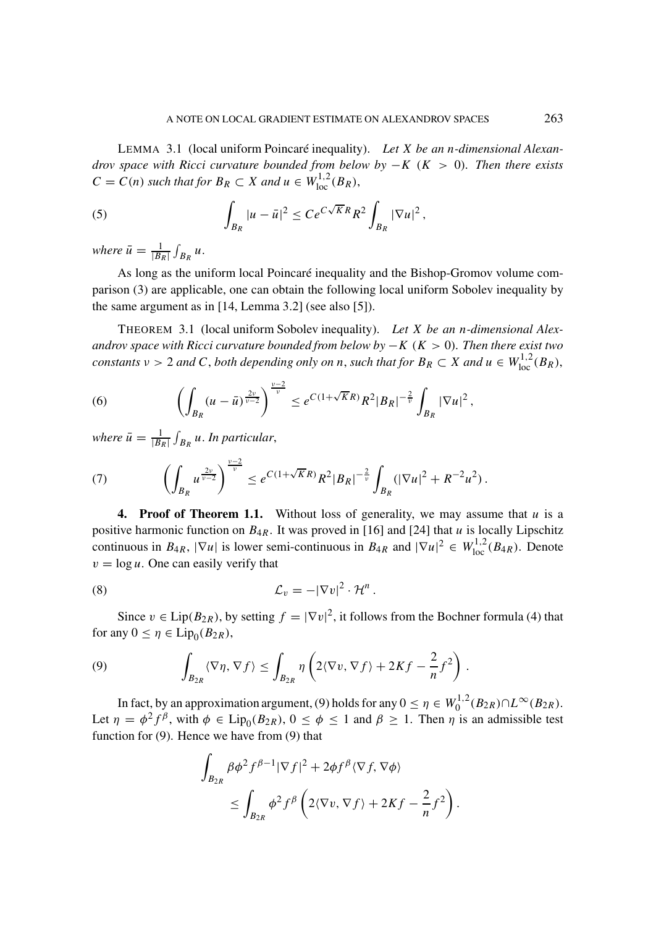LEMMA 3.1 (local uniform Poincaré inequality). *Let* X *be an* n*-dimensional Alexandrov space with Ricci curvature bounded from below by* −K (K > 0)*. Then there exists*  $C = C(n)$  such that for  $B_R \subset X$  and  $u \in W^{1,2}_{loc}(B_R)$ ,

(5) 
$$
\int_{B_R} |u - \bar{u}|^2 \leq Ce^{C\sqrt{K}R} R^2 \int_{B_R} |\nabla u|^2,
$$

where  $\bar{u} = \frac{1}{|B_R|} \int_{B_R} u$ .

As long as the uniform local Poincaré inequality and the Bishop-Gromov volume comparison (3) are applicable, one can obtain the following local uniform Sobolev inequality by the same argument as in [14, Lemma 3.2] (see also [5]).

THEOREM 3.1 (local uniform Sobolev inequality). *Let* X *be an* n*-dimensional Alexandrov space with Ricci curvature bounded from below by* −K (K > 0)*. Then there exist two constants*  $v > 2$  *and* C, *both depending only on n, such that for*  $B_R \subset X$  *and*  $u \in W_{loc}^{1,2}(B_R)$ ,

(6) 
$$
\left(\int_{B_R} (u - \bar{u})^{\frac{2\nu}{\nu-2}}\right)^{\frac{\nu-2}{\nu}} \leq e^{C(1+\sqrt{K}R)}R^2|B_R|^{-\frac{2}{\nu}}\int_{B_R}|\nabla u|^2,
$$

where  $\bar{u} = \frac{1}{|B_R|}\int_{B_R} u$  . In particular,

(7) 
$$
\left(\int_{B_R} u^{\frac{2\nu}{\nu-2}}\right)^{\frac{\nu-2}{\nu}} \leq e^{C(1+\sqrt{K}R)}R^2|B_R|^{-\frac{2}{\nu}}\int_{B_R} (|\nabla u|^2 + R^{-2}u^2).
$$

**4. Proof of Theorem 1.1.** Without loss of generality, we may assume that  $u$  is a positive harmonic function on  $B_{4R}$ . It was proved in [16] and [24] that u is locally Lipschitz continuous in  $B_{4R}$ ,  $|\nabla u|$  is lower semi-continuous in  $B_{4R}$  and  $|\nabla u|^2 \in W^{1,2}_{loc}(B_{4R})$ . Denote  $v = \log u$ . One can easily verify that

(8) 
$$
\mathcal{L}_v = -|\nabla v|^2 \cdot \mathcal{H}^n.
$$

Since  $v \in \text{Lip}(B_{2R})$ , by setting  $f = |\nabla v|^2$ , it follows from the Bochner formula (4) that for any  $0 \le \eta \in \text{Lip}_0(B_{2R}),$ 

(9) 
$$
\int_{B_{2R}} \langle \nabla \eta, \nabla f \rangle \leq \int_{B_{2R}} \eta \left( 2 \langle \nabla v, \nabla f \rangle + 2Kf - \frac{2}{n} f^2 \right).
$$

In fact, by an approximation argument, (9) holds for any  $0 \le \eta \in W_0^{1,2}(B_{2R}) \cap L^{\infty}(B_{2R})$ . Let  $\eta = \phi^2 f^\beta$ , with  $\phi \in \text{Lip}_0(B_{2R})$ ,  $0 \le \phi \le 1$  and  $\beta \ge 1$ . Then  $\eta$  is an admissible test function for (9). Hence we have from (9) that

$$
\int_{B_{2R}} \beta \phi^2 f^{\beta - 1} |\nabla f|^2 + 2 \phi f^{\beta} \langle \nabla f, \nabla \phi \rangle
$$
\n
$$
\leq \int_{B_{2R}} \phi^2 f^{\beta} \left( 2 \langle \nabla v, \nabla f \rangle + 2Kf - \frac{2}{n} f^2 \right)
$$

.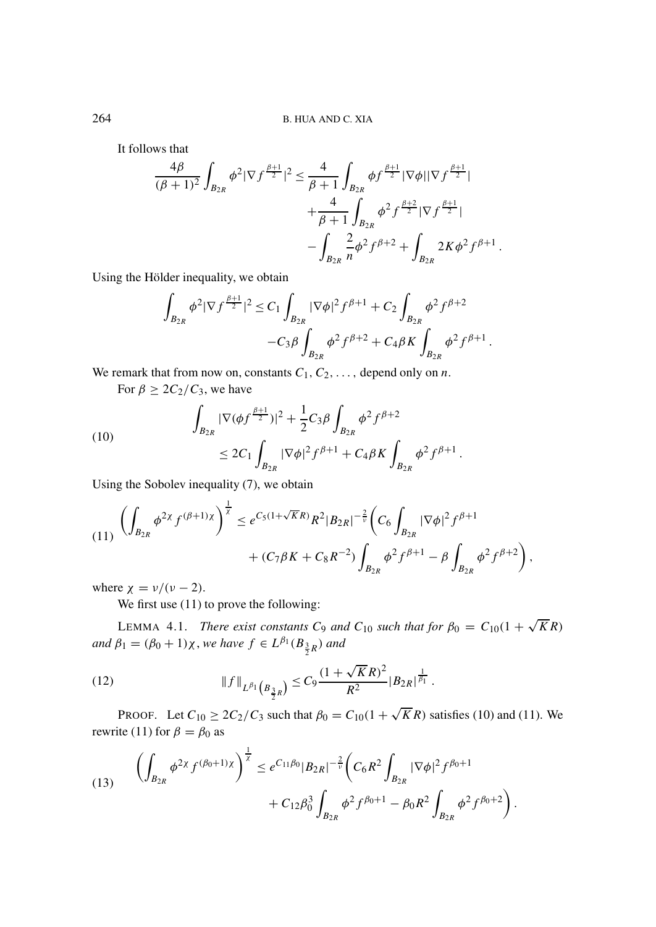It follows that

$$
\frac{4\beta}{(\beta+1)^2} \int_{B_{2R}} \phi^2 |\nabla f^{\frac{\beta+1}{2}}|^2 \le \frac{4}{\beta+1} \int_{B_{2R}} \phi f^{\frac{\beta+1}{2}} |\nabla \phi||\nabla f^{\frac{\beta+1}{2}}| \n+ \frac{4}{\beta+1} \int_{B_{2R}} \phi^2 f^{\frac{\beta+2}{2}} |\nabla f^{\frac{\beta+1}{2}}| \n- \int_{B_{2R}} \frac{2}{n} \phi^2 f^{\beta+2} + \int_{B_{2R}} 2K\phi^2 f^{\beta+1} .
$$

Using the Hölder inequality, we obtain

$$
\int_{B_{2R}} \phi^2 |\nabla f^{\frac{\beta+1}{2}}|^2 \leq C_1 \int_{B_{2R}} |\nabla \phi|^2 f^{\beta+1} + C_2 \int_{B_{2R}} \phi^2 f^{\beta+2} -C_3 \beta \int_{B_{2R}} \phi^2 f^{\beta+2} + C_4 \beta K \int_{B_{2R}} \phi^2 f^{\beta+1} .
$$

We remark that from now on, constants  $C_1, C_2, \ldots$ , depend only on *n*.

For  $\beta \geq 2C_2/C_3$ , we have

(10) 
$$
\int_{B_{2R}} |\nabla(\phi f^{\frac{\beta+1}{2}})|^2 + \frac{1}{2} C_3 \beta \int_{B_{2R}} \phi^2 f^{\beta+2} \leq 2C_1 \int_{B_{2R}} |\nabla \phi|^2 f^{\beta+1} + C_4 \beta K \int_{B_{2R}} \phi^2 f^{\beta+1}.
$$

Using the Sobolev inequality (7), we obtain

$$
(11) \left( \int_{B_{2R}} \phi^{2\chi} f^{(\beta+1)\chi} \right)^{\frac{1}{\chi}} \leq e^{C_5(1+\sqrt{K}R)} R^2 |B_{2R}|^{-\frac{2}{\nu}} \left( C_6 \int_{B_{2R}} |\nabla \phi|^2 f^{\beta+1} + (C_7 \beta K + C_8 R^{-2}) \int_{B_{2R}} \phi^2 f^{\beta+1} - \beta \int_{B_{2R}} \phi^2 f^{\beta+2} \right),
$$

where  $\chi = v/(v - 2)$ .

We first use  $(11)$  to prove the following:

LEMMA 4.1. *There exist constants*  $C_9$  *and*  $C_{10}$  *such that for*  $\beta_0 = C_{10}(1 + \sqrt{K}R)$  $\alpha$ *and*  $\beta_1 = (\beta_0 + 1)\chi$ , *we have*  $f \in L^{\beta_1}(B_{\frac{3}{2}R})$  *and* 

(12) 
$$
\|f\|_{L^{\beta_1}\left(B_{\frac{3}{2}R}\right)} \leq C_9 \frac{(1+\sqrt{K}R)^2}{R^2} |B_{2R}|^{\frac{1}{\beta_1}}.
$$

PROOF. Let  $C_{10} \ge 2C_2/C_3$  such that  $\beta_0 = C_{10}(1 + \sqrt{K}R)$  satisfies (10) and (11). We rewrite (11) for  $\beta = \beta_0$  as

(13) 
$$
\left(\int_{B_{2R}} \phi^{2\chi} f^{(\beta_0+1)\chi}\right)^{\frac{1}{\chi}} \leq e^{C_{11}\beta_0} |B_{2R}|^{-\frac{2}{\nu}} \left(C_6 R^2 \int_{B_{2R}} |\nabla \phi|^2 f^{\beta_0+1} + C_{12}\beta_0^3 \int_{B_{2R}} \phi^2 f^{\beta_0+1} - \beta_0 R^2 \int_{B_{2R}} \phi^2 f^{\beta_0+2}\right).
$$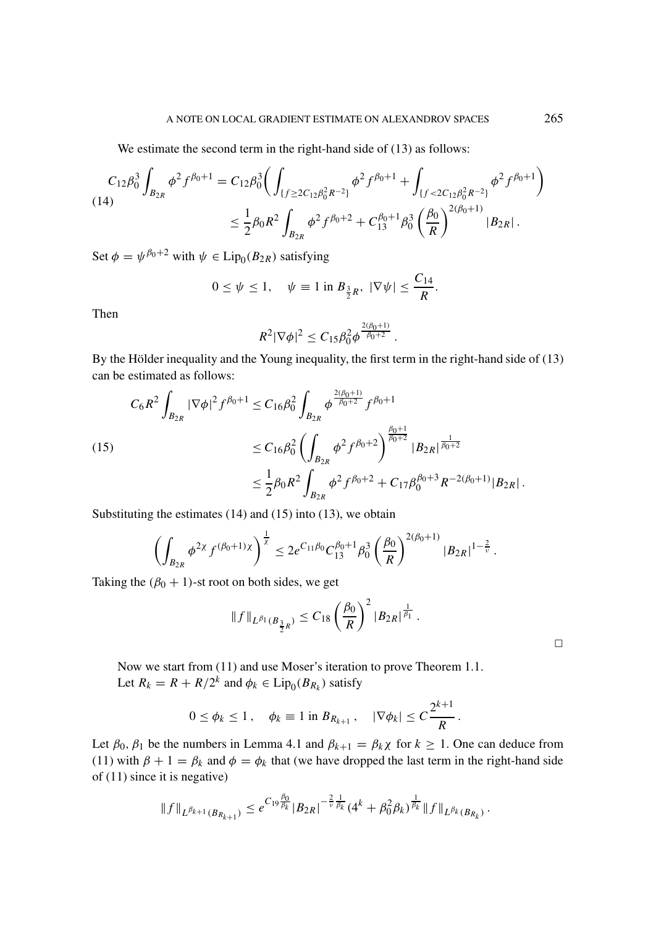We estimate the second term in the right-hand side of  $(13)$  as follows:

$$
C_{12}\beta_0^3 \int_{B_{2R}} \phi^2 f^{\beta_0+1} = C_{12}\beta_0^3 \Big( \int_{\{f \ge 2C_{12}\beta_0^2 R^{-2}\}} \phi^2 f^{\beta_0+1} + \int_{\{f < 2C_{12}\beta_0^2 R^{-2}\}} \phi^2 f^{\beta_0+1} \Big)
$$
\n
$$
\le \frac{1}{2}\beta_0 R^2 \int_{B_{2R}} \phi^2 f^{\beta_0+2} + C_{13}^{\beta_0+1} \beta_0^3 \left(\frac{\beta_0}{R}\right)^{2(\beta_0+1)} |B_{2R}|.
$$

Set  $\phi = \psi^{\beta_0+2}$  with  $\psi \in \text{Lip}_0(B_{2R})$  satisfying

$$
0 \le \psi \le 1
$$
,  $\psi \equiv 1$  in  $B_{\frac{3}{2}R}$ ,  $|\nabla \psi| \le \frac{C_{14}}{R}$ .

Then

$$
R^2 |\nabla \phi|^2 \leq C_{15} \beta_0^2 \phi^{\frac{2(\beta_0+1)}{\beta_0+2}}.
$$

By the Hölder inequality and the Young inequality, the first term in the right-hand side of (13) can be estimated as follows:

<sup>2</sup>(β0+1)

$$
(15) \qquad C_6 R^2 \int_{B_{2R}} |\nabla \phi|^2 f^{\beta_0+1} \le C_{16} \beta_0^2 \int_{B_{2R}} \phi^{\frac{2(\beta_0+1)}{\beta_0+2}} f^{\beta_0+1}
$$
\n
$$
\le C_{16} \beta_0^2 \left( \int_{B_{2R}} \phi^2 f^{\beta_0+2} \right)^{\frac{\beta_0+1}{\beta_0+2}} |B_{2R}|^{\frac{1}{\beta_0+2}}
$$
\n
$$
\le \frac{1}{2} \beta_0 R^2 \int_{B_{2R}} \phi^2 f^{\beta_0+2} + C_{17} \beta_0^{\beta_0+3} R^{-2(\beta_0+1)} |B_{2R}|.
$$

Substituting the estimates (14) and (15) into (13), we obtain

$$
\left(\int_{B_{2R}} \phi^{2\chi} f^{(\beta_0+1)\chi}\right)^{\frac{1}{\chi}} \leq 2e^{C_{11}\beta_0} C_{13}^{\beta_0+1} \beta_0^3 \left(\frac{\beta_0}{R}\right)^{2(\beta_0+1)} |B_{2R}|^{1-\frac{2}{\nu}}.
$$

Taking the  $(\beta_0 + 1)$ -st root on both sides, we get

$$
||f||_{L^{\beta_1}(B_{\frac{3}{2}R})} \leq C_{18} \left(\frac{\beta_0}{R}\right)^2 |B_{2R}|^{\frac{1}{\beta_1}}.
$$

Now we start from (11) and use Moser's iteration to prove Theorem 1.1. Let  $R_k = R + R/2^k$  and  $\phi_k \in \text{Lip}_0(B_{R_k})$  satisfy

$$
0 \le \phi_k \le 1
$$
,  $\phi_k \equiv 1$  in  $B_{R_{k+1}}$ ,  $|\nabla \phi_k| \le C \frac{2^{k+1}}{R}$ .

Let  $\beta_0$ ,  $\beta_1$  be the numbers in Lemma 4.1 and  $\beta_{k+1} = \beta_k \chi$  for  $k \ge 1$ . One can deduce from (11) with  $\beta + 1 = \beta_k$  and  $\phi = \phi_k$  that (we have dropped the last term in the right-hand side of (11) since it is negative)

$$
||f||_{L^{\beta_{k+1}}(B_{R_{k+1}})} \leq e^{C_{19}\frac{\beta_0}{\beta_k}}|B_{2R}|^{-\frac{2}{\nu}\frac{1}{\beta_k}}(4^k+\beta_0^2\beta_k)^{\frac{1}{\beta_k}}||f||_{L^{\beta_k}(B_{R_k})}.
$$

 $\Box$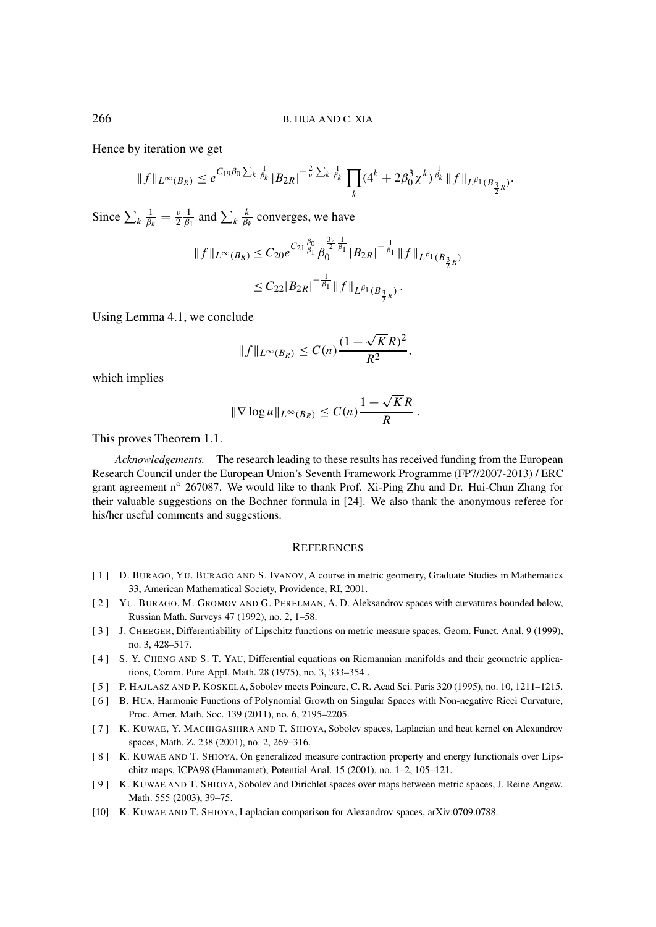Hence by iteration we get

$$
||f||_{L^{\infty}(B_R)} \leq e^{C_{19}\beta_0 \sum_k \frac{1}{\beta_k}} |B_{2R}|^{-\frac{2}{\nu} \sum_k \frac{1}{\beta_k}} \prod_k (4^k + 2\beta_0^3 \chi^k)^{\frac{1}{\beta_k}} ||f||_{L^{\beta_1}(B_{\frac{3}{2}R})}.
$$

Since  $\sum_{k} \frac{1}{\beta_k} = \frac{v}{2} \frac{1}{\beta_1}$  and  $\sum_{k} \frac{k}{\beta_k}$  converges, we have

$$
||f||_{L^{\infty}(B_R)} \leq C_{20}e^{C_{21}\frac{\beta_0}{\beta_1}}\beta_0^{\frac{3\nu}{2}\frac{1}{\beta_1}}|B_{2R}|^{-\frac{1}{\beta_1}}||f||_{L^{\beta_1}(B_{\frac{3}{2}R})}
$$
  

$$
\leq C_{22}|B_{2R}|^{-\frac{1}{\beta_1}}||f||_{L^{\beta_1}(B_{\frac{3}{2}R})}.
$$

Using Lemma 4.1, we conclude

$$
||f||_{L^{\infty}(B_R)} \leq C(n) \frac{(1+\sqrt{K}R)^2}{R^2},
$$

which implies

$$
\|\nabla \log u\|_{L^{\infty}(B_R)} \leq C(n) \frac{1 + \sqrt{K}R}{R}.
$$

This proves Theorem 1.1.

*Acknowledgements.* The research leading to these results has received funding from the European Research Council under the European Union's Seventh Framework Programme (FP7/2007-2013) / ERC grant agreement n◦ 267087. We would like to thank Prof. Xi-Ping Zhu and Dr. Hui-Chun Zhang for their valuable suggestions on the Bochner formula in [24]. We also thank the anonymous referee for his/her useful comments and suggestions.

## **REFERENCES**

- [ 1 ] D. BURAGO, YU. BURAGO AND S. IVANOV, A course in metric geometry, Graduate Studies in Mathematics 33, American Mathematical Society, Providence, RI, 2001.
- [2] YU. BURAGO, M. GROMOV AND G. PERELMAN, A. D. Aleksandrov spaces with curvatures bounded below, Russian Math. Surveys 47 (1992), no. 2, 1–58.
- [3] J. CHEEGER, Differentiability of Lipschitz functions on metric measure spaces, Geom. Funct. Anal. 9 (1999), no. 3, 428–517.
- [ 4 ] S. Y. CHENG AND S. T. YAU, Differential equations on Riemannian manifolds and their geometric applications, Comm. Pure Appl. Math. 28 (1975), no. 3, 333–354 .
- [ 5 ] P. HAJLASZ AND P. KOSKELA, Sobolev meets Poincare, C. R. Acad Sci. Paris 320 (1995), no. 10, 1211–1215.
- [6] B. HUA, Harmonic Functions of Polynomial Growth on Singular Spaces with Non-negative Ricci Curvature, Proc. Amer. Math. Soc. 139 (2011), no. 6, 2195–2205.
- [ 7 ] K. KUWAE, Y. MACHIGASHIRA AND T. SHIOYA, Sobolev spaces, Laplacian and heat kernel on Alexandrov spaces, Math. Z. 238 (2001), no. 2, 269–316.
- [ 8 ] K. KUWAE AND T. SHIOYA, On generalized measure contraction property and energy functionals over Lipschitz maps, ICPA98 (Hammamet), Potential Anal. 15 (2001), no. 1–2, 105–121.
- [ 9 ] K. KUWAE AND T. SHIOYA, Sobolev and Dirichlet spaces over maps between metric spaces, J. Reine Angew. Math. 555 (2003), 39–75.
- [10] K. KUWAE AND T. SHIOYA, Laplacian comparison for Alexandrov spaces, arXiv:0709.0788.